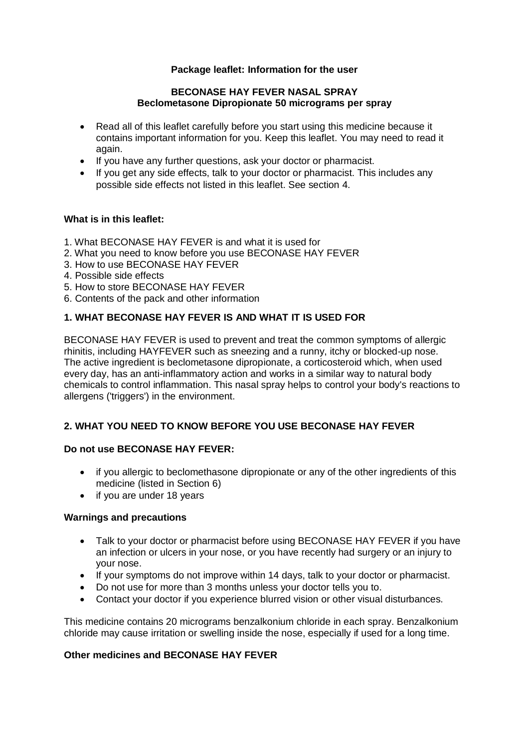# **Package leaflet: Information for the user**

#### **BECONASE HAY FEVER NASAL SPRAY Beclometasone Dipropionate 50 micrograms per spray**

- Read all of this leaflet carefully before you start using this medicine because it contains important information for you. Keep this leaflet. You may need to read it again.
- If you have any further questions, ask your doctor or pharmacist.
- If you get any side effects, talk to your doctor or pharmacist. This includes any possible side effects not listed in this leaflet. See section 4.

### **What is in this leaflet:**

- 1. What BECONASE HAY FEVER is and what it is used for
- 2. What you need to know before you use BECONASE HAY FEVER
- 3. How to use BECONASE HAY FEVER
- 4. Possible side effects
- 5. How to store BECONASE HAY FEVER
- 6. Contents of the pack and other information

### **1. WHAT BECONASE HAY FEVER IS AND WHAT IT IS USED FOR**

BECONASE HAY FEVER is used to prevent and treat the common symptoms of allergic rhinitis, including HAYFEVER such as sneezing and a runny, itchy or blocked-up nose. The active ingredient is beclometasone dipropionate, a corticosteroid which, when used every day, has an anti-inflammatory action and works in a similar way to natural body chemicals to control inflammation. This nasal spray helps to control your body's reactions to allergens ('triggers') in the environment.

# **2. WHAT YOU NEED TO KNOW BEFORE YOU USE BECONASE HAY FEVER**

## **Do not use BECONASE HAY FEVER:**

- if you allergic to beclomethasone dipropionate or any of the other ingredients of this medicine (listed in Section 6)
- if you are under 18 years

### **Warnings and precautions**

- Talk to your doctor or pharmacist before using BECONASE HAY FEVER if you have an infection or ulcers in your nose, or you have recently had surgery or an injury to your nose.
- If your symptoms do not improve within 14 days, talk to your doctor or pharmacist.
- Do not use for more than 3 months unless your doctor tells you to.
- Contact your doctor if you experience blurred vision or other visual disturbances.

This medicine contains 20 micrograms benzalkonium chloride in each spray. Benzalkonium chloride may cause irritation or swelling inside the nose, especially if used for a long time.

#### **Other medicines and BECONASE HAY FEVER**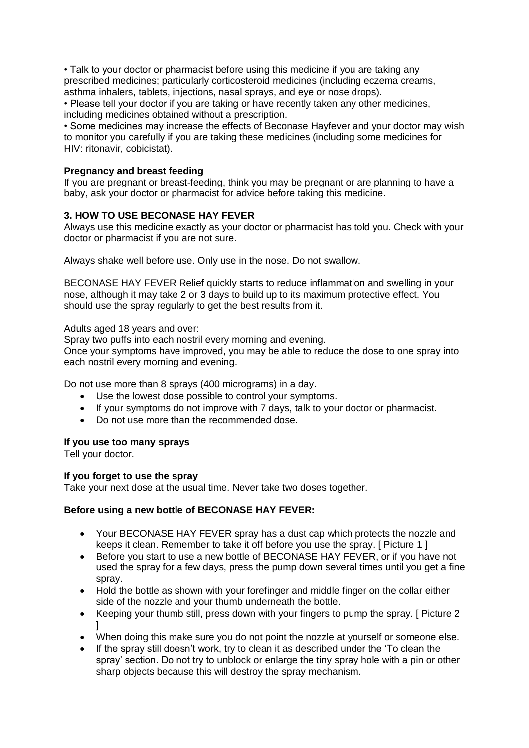• Talk to your doctor or pharmacist before using this medicine if you are taking any prescribed medicines; particularly corticosteroid medicines (including eczema creams, asthma inhalers, tablets, injections, nasal sprays, and eye or nose drops).

• Please tell your doctor if you are taking or have recently taken any other medicines, including medicines obtained without a prescription.

• Some medicines may increase the effects of Beconase Hayfever and your doctor may wish to monitor you carefully if you are taking these medicines (including some medicines for HIV: ritonavir, cobicistat).

# **Pregnancy and breast feeding**

If you are pregnant or breast-feeding, think you may be pregnant or are planning to have a baby, ask your doctor or pharmacist for advice before taking this medicine.

# **3. HOW TO USE BECONASE HAY FEVER**

Always use this medicine exactly as your doctor or pharmacist has told you. Check with your doctor or pharmacist if you are not sure.

Always shake well before use. Only use in the nose. Do not swallow.

BECONASE HAY FEVER Relief quickly starts to reduce inflammation and swelling in your nose, although it may take 2 or 3 days to build up to its maximum protective effect. You should use the spray regularly to get the best results from it.

Adults aged 18 years and over:

Spray two puffs into each nostril every morning and evening.

Once your symptoms have improved, you may be able to reduce the dose to one spray into each nostril every morning and evening.

Do not use more than 8 sprays (400 micrograms) in a day.

- Use the lowest dose possible to control your symptoms.
- If your symptoms do not improve with 7 days, talk to your doctor or pharmacist.
- Do not use more than the recommended dose.

### **If you use too many sprays**

Tell your doctor.

#### **If you forget to use the spray**

Take your next dose at the usual time. Never take two doses together.

### **Before using a new bottle of BECONASE HAY FEVER:**

- Your BECONASE HAY FEVER spray has a dust cap which protects the nozzle and keeps it clean. Remember to take it off before you use the spray. [ Picture 1 ]
- Before you start to use a new bottle of BECONASE HAY FEVER, or if you have not used the spray for a few days, press the pump down several times until you get a fine spray.
- Hold the bottle as shown with your forefinger and middle finger on the collar either side of the nozzle and your thumb underneath the bottle.
- Keeping your thumb still, press down with your fingers to pump the spray. [ Picture 2 ]
- When doing this make sure you do not point the nozzle at yourself or someone else.
- If the spray still doesn't work, try to clean it as described under the 'To clean the spray' section. Do not try to unblock or enlarge the tiny spray hole with a pin or other sharp objects because this will destroy the spray mechanism.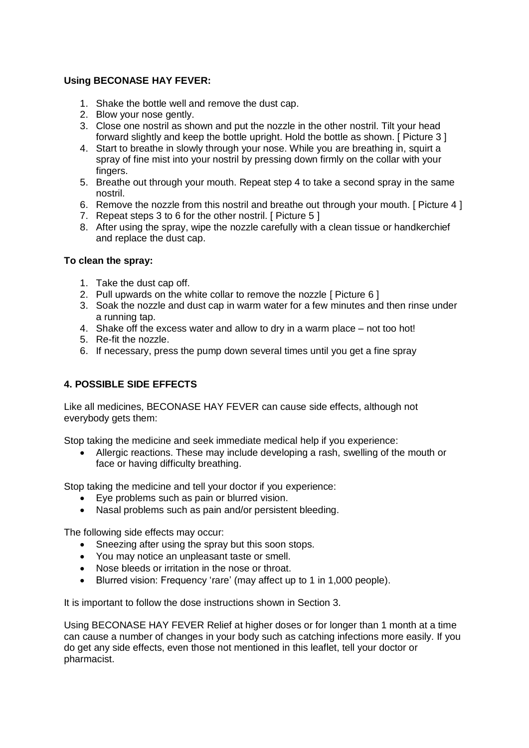# **Using BECONASE HAY FEVER:**

- 1. Shake the bottle well and remove the dust cap.
- 2. Blow your nose gently.
- 3. Close one nostril as shown and put the nozzle in the other nostril. Tilt your head forward slightly and keep the bottle upright. Hold the bottle as shown. [ Picture 3 ]
- 4. Start to breathe in slowly through your nose. While you are breathing in, squirt a spray of fine mist into your nostril by pressing down firmly on the collar with your fingers.
- 5. Breathe out through your mouth. Repeat step 4 to take a second spray in the same nostril.
- 6. Remove the nozzle from this nostril and breathe out through your mouth. [ Picture 4 ]
- 7. Repeat steps 3 to 6 for the other nostril. [ Picture 5 ]
- 8. After using the spray, wipe the nozzle carefully with a clean tissue or handkerchief and replace the dust cap.

### **To clean the spray:**

- 1. Take the dust cap off.
- 2. Pull upwards on the white collar to remove the nozzle [ Picture 6 ]
- 3. Soak the nozzle and dust cap in warm water for a few minutes and then rinse under a running tap.
- 4. Shake off the excess water and allow to dry in a warm place not too hot!
- 5. Re-fit the nozzle.
- 6. If necessary, press the pump down several times until you get a fine spray

# **4. POSSIBLE SIDE EFFECTS**

Like all medicines, BECONASE HAY FEVER can cause side effects, although not everybody gets them:

Stop taking the medicine and seek immediate medical help if you experience:

 Allergic reactions. These may include developing a rash, swelling of the mouth or face or having difficulty breathing.

Stop taking the medicine and tell your doctor if you experience:

- Eye problems such as pain or blurred vision.
- Nasal problems such as pain and/or persistent bleeding.

The following side effects may occur:

- Sneezing after using the spray but this soon stops.
- You may notice an unpleasant taste or smell.
- Nose bleeds or irritation in the nose or throat.
- Blurred vision: Frequency 'rare' (may affect up to 1 in 1,000 people).

It is important to follow the dose instructions shown in Section 3.

Using BECONASE HAY FEVER Relief at higher doses or for longer than 1 month at a time can cause a number of changes in your body such as catching infections more easily. If you do get any side effects, even those not mentioned in this leaflet, tell your doctor or pharmacist.